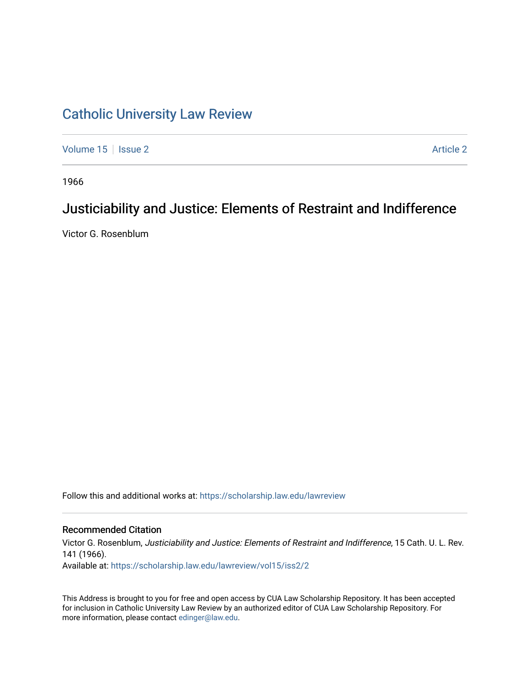## [Catholic University Law Review](https://scholarship.law.edu/lawreview)

[Volume 15](https://scholarship.law.edu/lawreview/vol15) | [Issue 2](https://scholarship.law.edu/lawreview/vol15/iss2) Article 2

1966

# Justiciability and Justice: Elements of Restraint and Indifference

Victor G. Rosenblum

Follow this and additional works at: [https://scholarship.law.edu/lawreview](https://scholarship.law.edu/lawreview?utm_source=scholarship.law.edu%2Flawreview%2Fvol15%2Fiss2%2F2&utm_medium=PDF&utm_campaign=PDFCoverPages)

### Recommended Citation

Victor G. Rosenblum, Justiciability and Justice: Elements of Restraint and Indifference, 15 Cath. U. L. Rev. 141 (1966). Available at: [https://scholarship.law.edu/lawreview/vol15/iss2/2](https://scholarship.law.edu/lawreview/vol15/iss2/2?utm_source=scholarship.law.edu%2Flawreview%2Fvol15%2Fiss2%2F2&utm_medium=PDF&utm_campaign=PDFCoverPages)

This Address is brought to you for free and open access by CUA Law Scholarship Repository. It has been accepted for inclusion in Catholic University Law Review by an authorized editor of CUA Law Scholarship Repository. For more information, please contact [edinger@law.edu.](mailto:edinger@law.edu)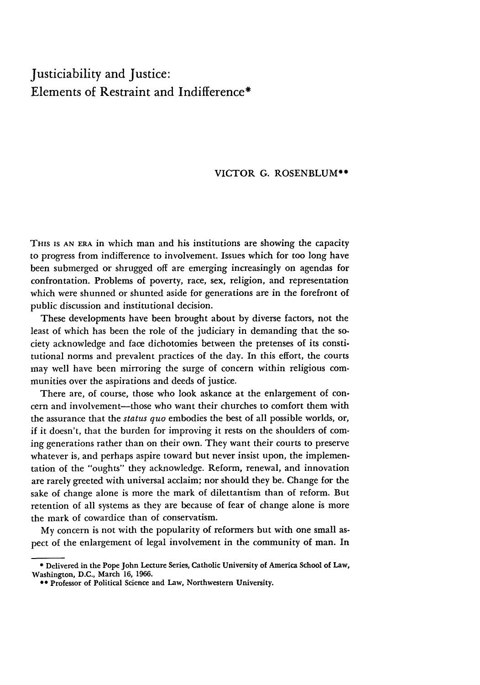### Justiciability and Justice: Elements of Restraint and Indifference\*

#### VICTOR G. ROSENBLUM\*\*

THIS **IS AN ERA** in which man and his institutions are showing the capacity to progress from indifference to involvement. Issues which for too long have been submerged or shrugged off are emerging increasingly on agendas for confrontation. Problems of poverty, race, sex, religion, and representation which were shunned or shunted aside for generations are in the forefront of public discussion and institutional decision.

These developments have been brought about by diverse factors, not the least of which has been the role of the judiciary in demanding that the society acknowledge and face dichotomies between the pretenses of its constitutional norms and prevalent practices of the day. In this effort, the courts may well have been mirroring the surge of concern within religious communities over the aspirations and deeds of justice.

There are, of course, those who look askance at the enlargement of concern and involvement—those who want their churches to comfort them with the assurance that the *status quo* embodies the best of all possible worlds, or, if it doesn't, that the burden for improving it rests on the shoulders of coming generations rather than on their own. They want their courts to preserve whatever is, and perhaps aspire toward but never insist upon, the implementation of the "oughts" they acknowledge. Reform, renewal, and innovation are rarely greeted with universal acclaim; nor should they be. Change for the sake of change alone is more the mark of dilettantism than of reform. But retention of all systems as they are because of fear of change alone is more the mark of cowardice than of conservatism.

My concern is not with the popularity of reformers but with one small aspect of the enlargement of legal involvement in the community of man. In

**<sup>\*</sup>** Delivered in the Pope John Lecture Series, Catholic University of America School of Law, Washington, **D.C.,** March **16, 1966.**

**<sup>00</sup>** Professor of Political Science and Law, Northwestern University.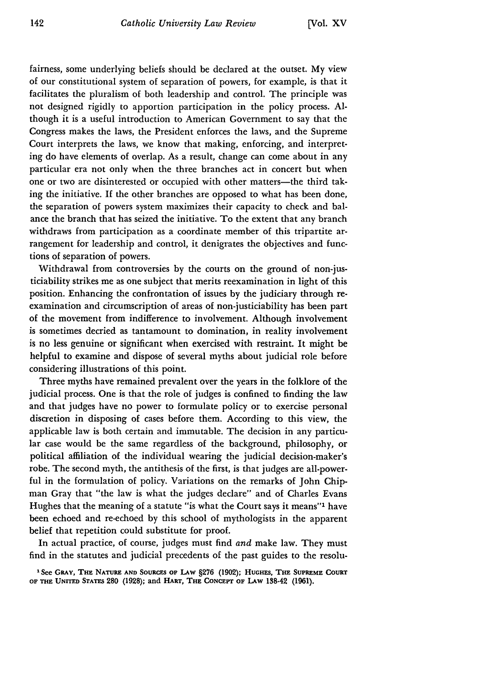fairness, some underlying beliefs should be declared at the outset. My view of our constitutional system of separation of powers, for example, is that it facilitates the pluralism of both leadership and control. The principle was not designed rigidly to apportion participation in the policy process. Although it is a useful introduction to American Government to say that the Congress makes the laws, the President enforces the laws, and the Supreme Court interprets the laws, we know that making, enforcing, and interpreting do have elements of overlap. As a result, change can come about in any particular era not only when the three branches act in concert but when one or two are disinterested or occupied with other matters-the third taking the initiative. If the other branches are opposed to what has been done, the separation of powers system maximizes their capacity to check and balance the branch that has seized the initiative. To the extent that any branch withdraws from participation as a coordinate member of this tripartite arrangement for leadership and control, it denigrates the objectives and functions of separation of powers.

Withdrawal from controversies by the courts on the ground of non-justiciability strikes me as one subject that merits reexamination in light of this position. Enhancing the confrontation of issues by the judiciary through reexamination and circumscription of areas of non-justiciability has been part of the movement from indifference to involvement. Although involvement is sometimes decried as tantamount to domination, in reality involvement is no less genuine or significant when exercised with restraint. It might be helpful to examine and dispose of several myths about judicial role before considering illustrations of this point.

Three myths have remained prevalent over the years in the folklore of the judicial process. One is that the role of judges is confined to finding the law and that judges have no power to formulate policy or to exercise personal discretion in disposing of cases before them. According to this view, the applicable law is both certain and immutable. The decision in any particular case would be the same regardless of the background, philosophy, or political affiliation of the individual wearing the judicial decision-maker's robe. The second myth, the antithesis of the first, is that judges are all-powerful in the formulation of policy. Variations on the remarks of John Chipman Gray that "the law is what the judges declare" and of Charles Evans Hughes that the meaning of a statute "is what the Court says it means"' have been echoed and re-echoed by this school of mythologists in the apparent belief that repetition could substitute for proof.

In actual practice, of course, judges must find *and* make law. They must find in the statutes and judicial precedents of the past guides to the resolu-

**I See** GRAY, **THE NATURE AND SOURCES OF LAw §276** (1902); **HUGHEs, THE SUPREME COURT OF THE UNITED STATEs 280 (1928);** and **HART, THE CONCEPT OF LAW** 138-42 **(1961).**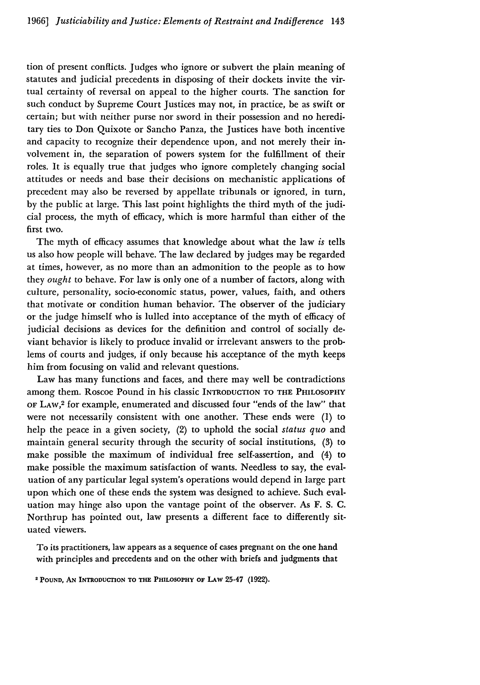tion of present conflicts. Judges who ignore or subvert the plain meaning of statutes and judicial precedents in disposing of their dockets invite the virtual certainty of reversal on appeal to the higher courts. The sanction for such conduct by Supreme Court Justices may not, in practice, be as swift or certain; but with neither purse nor sword in their possession and no hereditary ties to Don Quixote or Sancho Panza, the Justices have both incentive and capacity to recognize their dependence upon, and not merely their involvement in, the separation of powers system for the fulfillment of their roles. It is equally true that judges who ignore completely changing social attitudes or needs and base their decisions on mechanistic applications of precedent may also be reversed by appellate tribunals or ignored, in turn, by the public at large. This last point highlights the third myth of the judicial process, the myth of efficacy, which is more harmful than either of the first two.

The myth of efficacy assumes that knowledge about what the law *is* tells us also how people will behave. The law declared by judges may be regarded at times, however, as no more than an admonition to the people as to how they *ought* to behave. For law is only one of a number of factors, along with culture, personality, socio-economic status, power, values, faith, and others that motivate or condition human behavior. The observer of the judiciary or the judge himself who is lulled into acceptance of the myth of efficacy of judicial decisions as devices for the definition and control of socially deviant behavior is likely to produce invalid or irrelevant answers to the problems of courts and judges, if only because his acceptance of the myth keeps him from focusing on valid and relevant questions.

Law has many functions and faces, and there may well be contradictions among them. Roscoe Pound in his classic INTRODUCTION TO THE PHILOSOPHY OF LAW, 2 for example, enumerated and discussed four "ends of the law" that were not necessarily consistent with one another. These ends were (1) to help the peace in a given society, (2) to uphold the social *status quo* and maintain general security through the security of social institutions, (3) to make possible the maximum of individual free self-assertion, and (4) to make possible the maximum satisfaction of wants. Needless to say, the evaluation of any particular legal system's operations would depend in large part upon which one of these ends the system was designed to achieve. Such evaluation may hinge also upon the vantage point of the observer. As F. S. C. Northrup has pointed out, law presents a different face to differently situated viewers.

To its practitioners, law appears as a sequence of cases pregnant on the one hand with principles and precedents and on the other with briefs and judgments that

2 **POUND, AN INTRODUcTION TO THE PHILOSOPHY OF LAW** 25-47 **(1922).**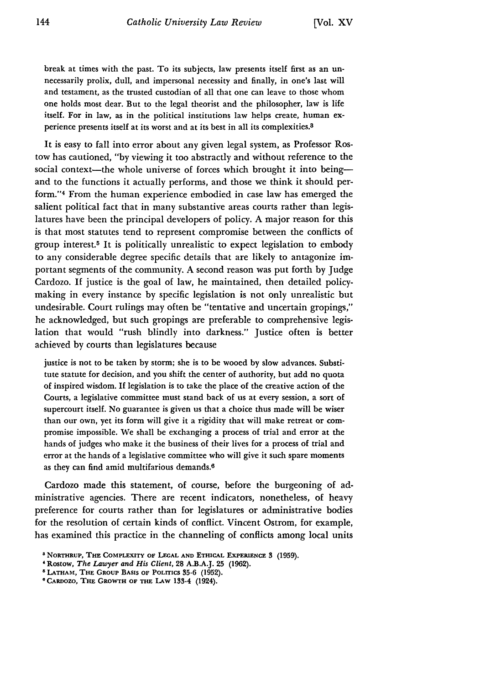break at times with the past. To its subjects, law presents itself first as an unnecessarily prolix, dull, and impersonal necessity and finally, in one's last will and testament, as the trusted custodian of all that one can leave to those whom one holds most dear. But to the legal theorist and the philosopher, law is life itself. For in law, as in the political institutions law helps create, human experience presents itself at its worst and at its best in all its complexities. <sup>8</sup>

It is easy to fall into error about any given legal system, as Professor Rostow has cautioned, "by viewing it too abstractly and without reference to the social context-the whole universe of forces which brought it into beingand to the functions it actually performs, and those we think it should perform."<sup>4</sup> From the human experience embodied in case law has emerged the salient political fact that in many substantive areas courts rather than legislatures have been the principal developers of policy. A major reason for this is that most statutes tend to represent compromise between the conflicts of group interest.5 It is politically unrealistic to expect legislation to embody to any considerable degree specific details that are likely to antagonize important segments of the community. A second reason was put forth by Judge Cardozo. If justice is the goal of law, he maintained, then detailed policymaking in every instance by specific legislation is not only unrealistic but undesirable. Court rulings may often be "tentative and uncertain gropings," he acknowledged, but such gropings are preferable to comprehensive legislation that would "rush blindly into darkness." Justice often is better achieved by courts than legislatures because

justice is not to be taken by storm; she is to be wooed by slow advances. Substitute statute for decision, and you shift the center of authority, but add no quota of inspired wisdom. If legislation is to take the place of the creative action of the Courts, a legislative committee must stand back of us at every session, a sort of supercourt itself. No guarantee is given us that a choice thus made will be wiser than our own, yet its form will give it a rigidity that will make retreat or compromise impossible. We shall be exchanging a process of trial and error at the hands of judges who make it the business of their lives for a process of trial and error at the hands of a legislative committee who will give it such spare moments as they can find amid multifarious demands.6

Cardozo made this statement, of course, before the burgeoning of administrative agencies. There are recent indicators, nonetheless, of heavy preference for courts rather than for legislatures or administrative bodies for the resolution of certain kinds of conflict. Vincent Ostrom, for example, has examined this practice in the channeling of conflicts among local units

<sup>&</sup>lt;sup>8</sup> NORTHRUP, THE COMPLEXITY OF LEGAL AND ETHICAL EXPERIENCE 3 (1959).

**<sup>&#</sup>x27;Rostow,** *The Lawyer and His Client,* **28 A.B.A.J. 25 (1962).**

<sup>&</sup>lt;sup>6</sup> LATHAM, THE GROUP BASIS OF POLITICS 35-6 (1952).

**CARDozo, THE GROWTH OF THE LAW 133-4 (1924).**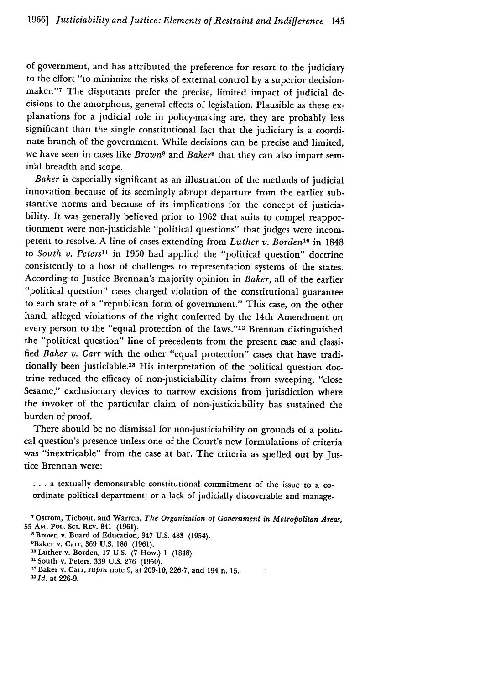of government, and has attributed the preference for resort to the judiciary to the effort "to minimize the risks of external control by a superior decisionmaker."7 The disputants prefer the precise, limited impact of judicial decisions to the amorphous, general effects of legislation. Plausible as these explanations for a judicial role in policy-making are, they are probably less significant than the single constitutional fact that the judiciary is a coordinate branch of the government. While decisions can be precise and limited, we have seen in cases like *Browns* and *Baker<sup>9</sup>*that they can also impart seminal breadth and scope.

*Baker* is especially significant as an illustration of the methods of judicial innovation because of its seemingly abrupt departure from the earlier substantive norms and because of its implications for the concept of justiciability. It was generally believed prior to 1962 that suits to compel reapportionment were non-justiciable "political questions" that judges were incompetent to resolve. A line of cases extending from *Luther v. Borden*<sup>10</sup> in 1848 to *South v. Peters*<sup>11</sup> in 1950 had applied the "political question" doctrine consistently to a host of challenges to representation systems of the states. According to justice Brennan's majority opinion in *Baker,* all of the earlier "political question" cases charged violation of the constitutional guarantee to each state of a "republican form of government." This case, on the other hand, alleged violations of the right conferred by the 14th Amendment on every person to the "equal protection of the laws."'12 Brennan distinguished the "political question" line of precedents from the present case and classified *Baker v. Carr* with the other "equal protection" cases that have traditionally been justiciable.13 His interpretation of the political question doctrine reduced the efficacy of non-justiciability claims from sweeping, "close Sesame," exclusionary devices to narrow excisions from jurisdiction where the invoker of the particular claim of non-justiciability has sustained the burden of proof.

There should be no dismissal for non-justiciability on grounds of a political question's presence unless one of the Court's new formulations of criteria was "inextricable" from the case at bar. The criteria as spelled out by Justice Brennan were:

**...** a textually demonstrable constitutional commitment of the issue to a coordinate political department; or a lack of judicially discoverable and manage-

- 10Luther v. Borden, 17 U.S. (7 How.) **1** (1848).
- <sup>11</sup> South v. Peters, 339 U.S. 276 (1950).

**'z** *Id.* at 226-9.

**<sup>7</sup>**Ostrom, Tiebout, and Warren, *The Organization of Government in Metropolitan Areas,* **55** AM. POL. Sci. REv. 841 (1961).

<sup>&</sup>lt;sup>8</sup> Brown v. Board of Education, 347 U.S. 483 (1954).

OBaker v. Carr, 369 U.S. 186 (1961).

Baker v. Carr, *supra* note 9, at 209-10, 226-7, and 194 n. 15.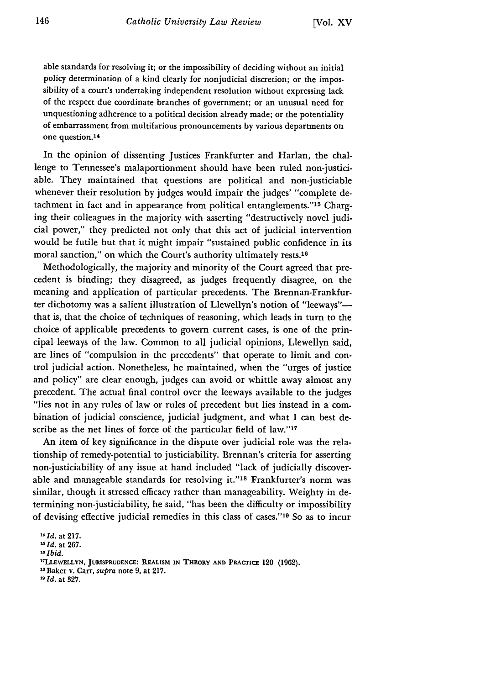able standards for resolving it; or the impossibility of deciding without an initial policy determination of a kind clearly for nonjudicial discretion; or the impossibility of a court's undertaking independent resolution without expressing lack of the respect due coordinate branches of government; or an unusual need for unquestioning adherence to a political decision already made; or the potentiality of embarrassment from multifarious pronouncements by various departments on one question.14

In the opinion of dissenting Justices Frankfurter and Harlan, the challenge to Tennessee's malaportionment should have been ruled non-justiciable. They maintained that questions are political and non-justiciable whenever their resolution by judges would impair the judges' "complete detachment in fact and in appearance from political entanglements."'15 Charging their colleagues in the majority with asserting "destructively novel judicial power," they predicted not only that this act of judicial intervention would be futile but that it might impair "sustained public confidence in its moral sanction," on which the Court's authority ultimately rests.<sup>16</sup>

Methodologically, the majority and minority of the Court agreed that precedent is binding; they disagreed, as judges frequently disagree, on the meaning and application of particular precedents. The Brennan-Frankfurter dichotomy was a salient illustration of Llewellyn's notion of "leeways"that is, that the choice of techniques of reasoning, which leads in turn to the choice of applicable precedents to govern current cases, is one of the principal leeways of the law. Common to all judicial opinions, Llewellyn said, are lines of "compulsion in the precedents" that operate to limit and control judicial action. Nonetheless, he maintained, when the "urges of justice and policy" are clear enough, judges can avoid or whittle away almost any precedent. The actual final control over the leeways available to the judges "lies not in any rules of law or rules of precedent but lies instead in a combination of judicial conscience, judicial judgment, and what I can best describe as the net lines of force of the particular field of law."17

An item of key significance in the dispute over judicial role was the relationship of remedy-potential to justiciability. Brennan's criteria for asserting non-justiciability of any issue at hand included "lack of judicially discoverable and manageable standards for resolving it."<sup>18</sup> Frankfurter's norm was similar, though it stressed efficacy rather than manageability. Weighty in determining non-justiciability, he said, "has been the difficulty or impossibility of devising effective judicial remedies in this class of cases."<sup>19</sup> So as to incur

*<sup>1&</sup>quot;Id.* at **217.**

*<sup>1</sup> <sup>5</sup> Id.* at **267.**

*<sup>&</sup>quot;0 Ibid.* **<sup>1</sup> <sup>7</sup>**

**LLEWELLYN, JURISPRUDENCE: REALISM IN THEORY AND PRACTIcE** 120 **(1962).**

**<sup>18</sup>** Baker v. Carr, *supra* note **9,** at **217.**

*<sup>1&</sup>quot; Id.* at **327.**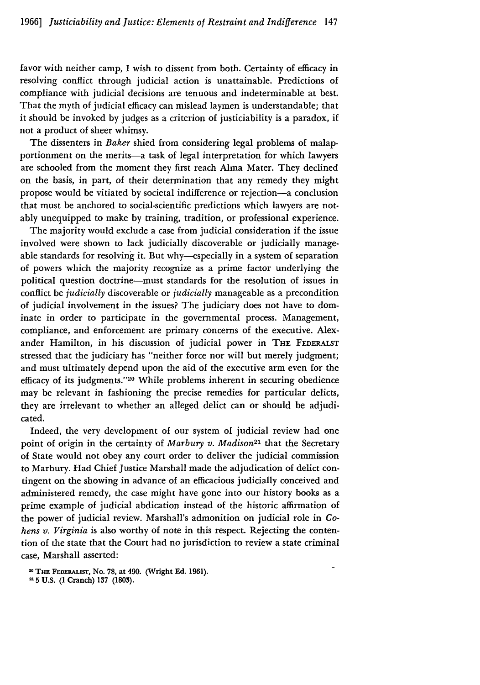favor with neither camp, I wish to dissent from both. Certainty of efficacy in resolving conflict through judicial action is unattainable. Predictions of compliance with judicial decisions are tenuous and indeterminable at best. That the myth of judicial efficacy can mislead laymen is understandable; that it should be invoked by judges as a criterion of justiciability is a paradox, if not a product of sheer whimsy.

The dissenters in *Baker* shied from considering legal problems of malapportionment on the merits-a task of legal interpretation for which lawyers are schooled from the moment they first reach Alma Mater. They declined on the basis, in part, of their determination that any remedy they might propose would be vitiated **by** societal indifference or rejection-a conclusion that must be anchored to social-scientific predictions which lawyers are notably unequipped to make by training, tradition, or professional experience.

The majority would exclude a case from judicial consideration if the issue involved were shown to lack judicially discoverable or judicially manageable standards for resolving it. But why--especially in a system of separation of powers which the majority recognize as a prime factor underlying the political question doctrine-must standards for the resolution of issues in conflict be *judicially* discoverable or *judicially* manageable as a precondition of judicial involvement in the issues? The judiciary does not have to dominate in order to participate in the governmental process. Management, compliance, and enforcement are primary concerns of the executive. Alexander Hamilton, in his discussion of judicial power in **THE FEDERALST** stressed that the judiciary has "neither force nor will but merely judgment; and must ultimately depend upon the aid of the executive arm even for the efficacy of its judgments."<sup>20</sup> While problems inherent in securing obedience may be relevant in fashioning the precise remedies for particular delicts, they are irrelevant to whether an alleged delict can or should be adjudicated.

Indeed, the very development of our system of judicial review had one point of origin in the certainty of *Marbury v. Madison2'* that the Secretary of State would not obey any court order to deliver the judicial commission to Marbury. Had Chief Justice Marshall made the adjudication of delict contingent on the showing in advance of an efficacious judicially conceived and administered remedy, the case might have gone into our history books as a prime example of judicial abdication instead of the historic affirmation of the power of judicial review. Marshall's admonition on judicial role in Co*hens v. Virginia* is also worthy of note in this respect. Rejecting the contention of the state that the Court had no jurisdiction to review a state criminal case, Marshall asserted:

<sup>20</sup>**THE FEDERALIST, No. 78, at 490. (Wright Ed. 1961).**

**<sup>215</sup> U.S. (1 Cranch) 137 (1803).**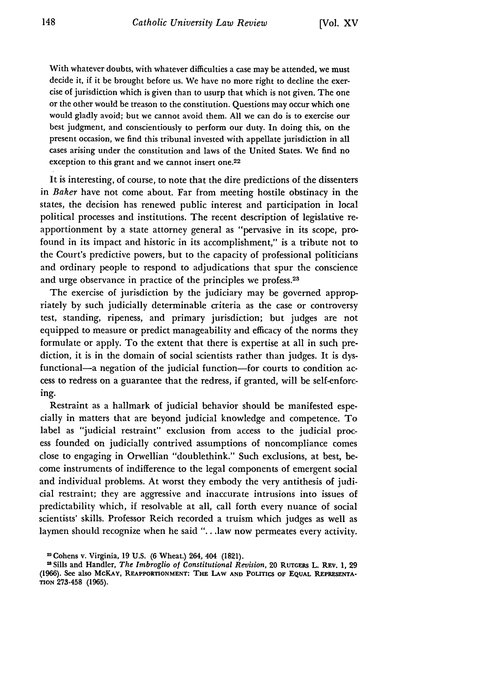With whatever doubts, with whatever difficulties a case may be attended, we must decide it, if it be brought before us. We have no more right to decline the exercise of jurisdiction which is given than to usurp that which is not given. The one or the other would be treason to the constitution. Questions may occur which one would gladly avoid; but we cannot avoid them. All we can do is to exercise our best judgment, and conscientiously to perform our duty. In doing this, on the present occasion, we find this tribunal invested with appellate jurisdiction in all cases arising under the constitution and laws of the United States. We find no exception to this grant and we cannot insert one.<sup>22</sup>

It is interesting, of course, to note that the dire predictions of the dissenters in *Baker* have not come about. Far from meeting hostile obstinacy in the states, the decision has renewed public interest and participation in local political processes and institutions. The recent description of legislative reapportionment by a state attorney general as "pervasive in its scope, profound in its impact and historic in its accomplishment," is a tribute not to the Court's predictive powers, but to the capacity of professional politicians and ordinary people to respond to adjudications that spur the conscience and urge observance in practice of the principles we profess.<sup>23</sup>

The exercise of jurisdiction by the judiciary may be governed appropriately by such judicially determinable criteria as the case or controversy test, standing, ripeness, and primary jurisdiction; but judges are not equipped to measure or predict manageability and efficacy of the norms they formulate or apply. To the extent that there is expertise at all in such prediction, it is in the domain of social scientists rather than judges. It is dysfunctional-a negation of the judicial function-for courts to condition access to redress on a guarantee that the redress, if granted, will be self-enforcing.

Restraint as a hallmark of judicial behavior should be manifested especially in matters that are beyond judicial knowledge and competence. To label as "judicial restraint" exclusion from access to the judicial process founded on judicially contrived assumptions of noncompliance comes close to engaging in Orwellian "doublethink." Such exclusions, at best, become instruments of indifference to the legal components of emergent social and individual problems. At worst they embody the very antithesis of judicial restraint; they are aggressive and inaccurate intrusions into issues of predictability which, if resolvable at all, call forth every nuance of social scientists' skills. Professor Reich recorded a truism which judges as well as laymen should recognize when he said "...law now permeates every activity.

Cohens v. Virginia, 19 **U.S. (6** Wheat.) 264, 404 (1821).

<sup>&</sup>lt;sup>23</sup> Sills and Handler, *The Imbroglio of Constitutional Revision*, 20 RUTGERS L. REV. 1, 29 (1966). See also MCKAY, REAPPORTIONMENT: THE LAW AND POLITICS OF EQUAL REPRESENTA-**TION 273-458 (1965).**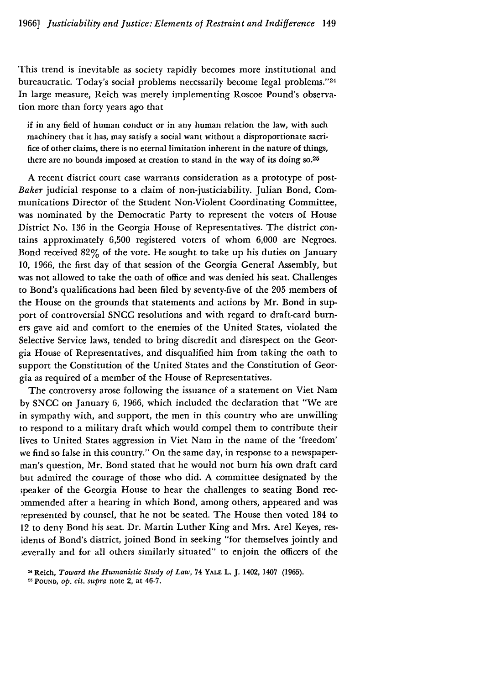This trend is inevitable as society rapidly becomes more institutional and bureaucratic. Today's social problems necessarily become legal problems."24 In large measure, Reich was merely implementing Roscoe Pound's observation more than forty years ago that

if in any field of human conduct or in any human relation the law, with such machinery that it has, may satisfy a social want without a disproportionate sacrifice of other claims, there is no eternal limitation inherent in the nature of things, there are no bounds imposed at creation to stand in the way of its doing so.<sup>25</sup>

A recent district court case warrants consideration as a prototype of post-*Baker* judicial response to a claim of non-justiciability. Julian Bond, Communications Director of the Student Non-Violent Coordinating Committee, was nominated by the Democratic Party to represent the voters of House District No. 136 in the Georgia House of Representatives. The district contains approximately **6,500** registered voters of whom **6,000** are Negroes. Bond received 82% of the vote. He sought to take up his duties on January **10,** 1966, the first day of that session of the Georgia General Assembly, but was not allowed to take the oath of office and was denied his seat. Challenges to Bond's qualifications had been filed by seventy-five of the **205** members of the House on the grounds that statements and actions by Mr. Bond in support of controversial SNCC resolutions and with regard to draft-card burners gave aid and comfort to the enemies of the United States, violated the Selective Service laws, tended to bring discredit and disrespect on the Georgia House of Representatives, and disqualified him from taking the oath to support the Constitution of the United States and the Constitution of Georgia as required of a member of the House of Representatives.

The controversy arose following the issuance of a statement on Viet Nam by SNCC on January 6, 1966, which included the declaration that "We are in sympathy with, and support, the men in this country who are unwilling to respond to a military draft which would compel them to contribute their lives to United States aggression in Viet Nam in the name of the 'freedom' we find so false in this country." On the same day, in response to a newspaperman's question, Mr. Bond stated that he would not burn his own draft card but admired the courage of those who did. A committee designated by the ;peaker of the Georgia House to hear the challenges to seating Bond recommended after a hearing in which Bond, among others, appeared and was represented by counsel, that he not be seated. The House then voted 184 to 12 to deny Bond his seat. Dr. Martin Luther King and Mrs. Arel Keyes, residents of Bond's district, joined Bond in seeking "for themselves jointly and ;everally and for all others similarly situated" to enjoin the officers of the

<sup>2</sup> Reich, *Toward the Humanistic Study of Law,* 74 **YALE** L. J. 1402, 1407 (1965).

**<sup>25</sup> POUND,** *op. cit. supra* note 2, at 46-7.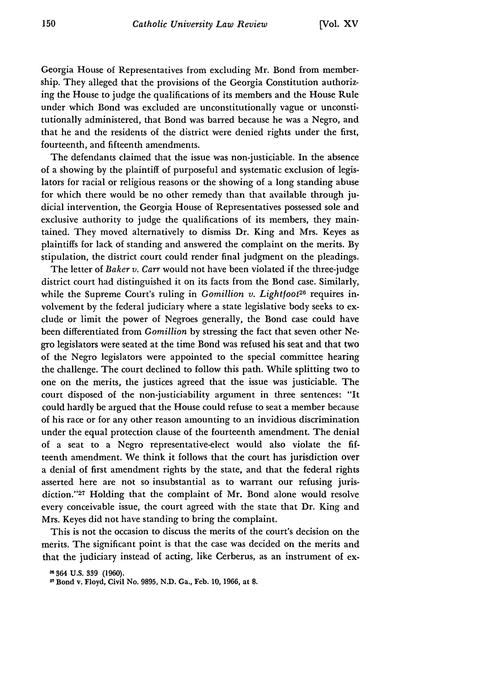Georgia House of Representatives from excluding Mr. Bond from membership. They alleged that the provisions of the Georgia Constitution authorizing the House to judge the qualifications of its members and the House Rule under which Bond was excluded are unconstitutionally vague or unconstitutionally administered, that Bond was barred because he was a Negro, and that he and the residents of the district were denied rights under the first, fourteenth, and fifteenth amendments.

The defendants claimed that the issue was non-justiciable. In the absence of a showing by the plaintiff of purposeful and systematic exclusion of legislators for racial or religious reasons or the showing of a long standing abuse for which there would be no other remedy than that available through judicial intervention, the Georgia House of Representatives possessed sole and exclusive authority to judge the qualifications of its members, they maintained. They moved alternatively to dismiss Dr. King and Mrs. Keyes as plaintiffs for lack of standing and answered the complaint on the merits. By stipulation, the district court could render final judgment on the pleadings.

The letter of *Baker v. Carr* would not have been violated if the three-judge district court had distinguished it on its facts from the Bond case. Similarly, while the Supreme Court's ruling in *Gomillion v. Lightfoot*<sup>26</sup> requires involvement **by** the federal judiciary where a state legislative body seeks to exclude or limit the power of Negroes generally, the Bond case could have been differentiated from *Gomillion* by stressing the fact that seven other Negro legislators were seated at the time Bond was refused his seat and that two of the Negro legislators were appointed to the special committee hearing the challenge. The court declined to follow this path. While splitting two to one on the merits, the justices agreed that the issue was justiciable. The court disposed of the non-justiciability argument in three sentences: "It could hardly be argued that the House could refuse to seat a member because of his race or for any other reason amounting to an invidious discrimination under the equal protection clause of the fourteenth amendment. The denial of a seat to a Negro representative-elect would also violate the **fif**teenth amendment. We think it follows that the court has jurisdiction over a denial of first amendment rights **by** the state, and that the federal rights asserted here are not so insubstantial as to warrant our refusing jurisdiction."<sup>27</sup> Holding that the complaint of Mr. Bond alone would resolve every conceivable issue, the court agreed with the state that Dr. King and Mrs. Keyes did not have standing to bring the complaint.

This is not the occasion to discuss the merits of the court's decision on the merits. The significant point is that the case was decided on the merits and that the judiciary instead of acting, like Cerberus, as an instrument of ex-

**<sup>364</sup> U.S. 339 (1960).**

**Bond** v. **Floyd, Civil No. 9895, N.D. Ga., Feb. 10, 1966, at 8.**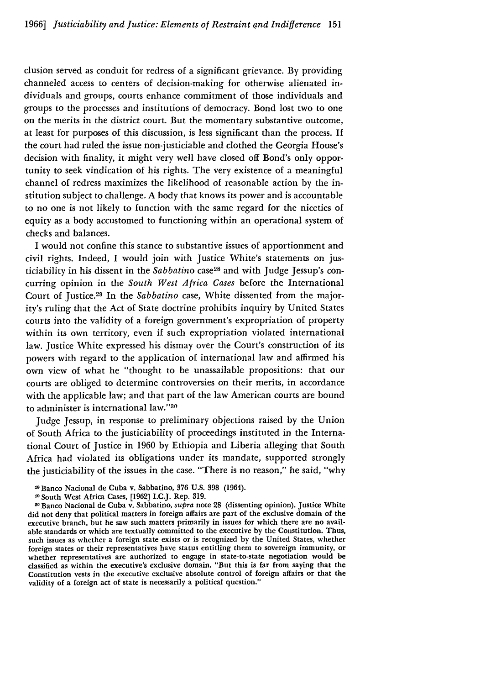clusion served as conduit for redress of a significant grievance. By providing channeled access to centers of decision-making for otherwise alienated individuals and groups, courts enhance commitment of those individuals and groups to the processes and institutions of democracy. Bond lost two to one on the merits in the district court. But the momentary substantive outcome, at least for purposes of this discussion, is less significant than the process. If the court had ruled the issue non-justiciable and clothed the Georgia House's decision with finality, it might very well have closed off Bond's only opportunity to seek vindication of his rights. The very existence of a meaningful channel of redress maximizes the likelihood of reasonable action by the institution subject to challenge. A body that knows its power and is accountable to no one is not likely to function with the same regard for the niceties of equity as a body accustomed to functioning within an operational system of checks and balances.

I would not confine this stance to substantive issues of apportionment and civil rights. Indeed, I would join with Justice White's statements on justiciability in his dissent in the *Sabbatino* case28 and with Judge Jessup's concurring opinion in the *South West Africa Cases* before the International Court of Justice. 29 In the *Sabbatino* case, White dissented from the majority's ruling that the Act of State doctrine prohibits inquiry by United States courts into the validity of a foreign government's expropriation of property within its own territory, even if such expropriation violated international law. Justice White expressed his dismay over the Court's construction of its powers with regard to the application of international law and affirmed his own view of what he "thought to be unassailable propositions: that our courts are obliged to determine controversies on their merits, in accordance with the applicable law; and that part of the law American courts are bound to administer is international law."30

Judge Jessup, in response to preliminary objections raised by the Union of South Africa to the justiciability of proceedings instituted in the International Court of Justice in 1960 by Ethiopia and Liberia alleging that South Africa had violated its obligations under its mandate, supported strongly the justiciability of the issues in the case. "There is no reason," he said, "why

Banco Nacional de Cuba v. Sabbatino, **376 U.S. 398** (1964).

<sup>&</sup>lt;sup>50</sup> Banco Nacional de Cuba v. Sabbatino, *supra* note 28 (dissenting opinion). Justice White did not deny that political matters in foreign affairs are part of the exclusive domain of the executive branch, but he saw such matters primarily in issues for which there are no available standards or which are textually committed to the executive by the Constitution. Thus, such issues as whether a foreign state exists or is recognized by the United States, whether foreign states or their representatives have status entitling them to sovereign immunity, or whether representatives are authorized to engage in state-to-state negotiation would be classified as within the executive's exclusive domain. "But this is far from saying that the Constitution vests in the executive exclusive absolute control of foreign affairs or that the validity of a foreign act of state is necessarily a political question."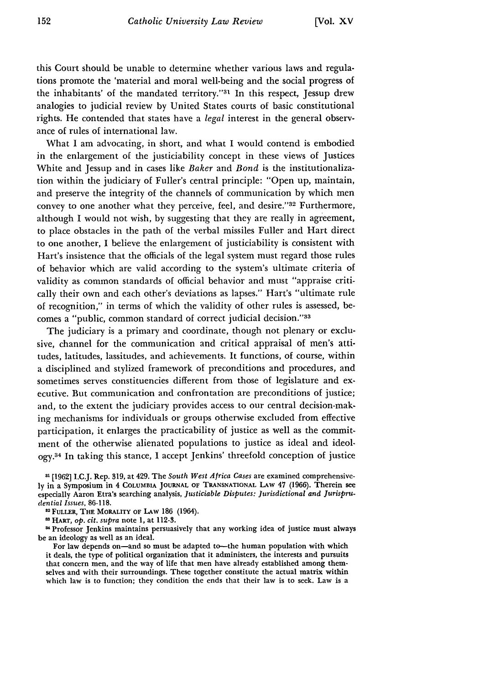this Court should be unable to determine whether various laws and regulations promote the 'material and moral well-being and the social progress of the inhabitants' of the mandated territory."<sup>31</sup> In this respect, Jessup drew analogies to judicial review by United States courts of basic constitutional rights. He contended that states have a *legal* interest in the general observance of rules of international law.

What I am advocating, in short, and what I would contend is embodied in the enlargement of the justiciability concept in these views of Justices White and Jessup and in cases like *Baker* and *Bond* is the institutionalization within the judiciary of Fuller's central principle: "Open up, maintain, and preserve the integrity of the channels of communication by which men convey to one another what they perceive, feel, and desire."<sup>32</sup> Furthermore, although I would not wish, by suggesting that they are really in agreement, to place obstacles in the path of the verbal missiles Fuller and Hart direct to one another, I believe the enlargement of justiciability is consistent with Hart's insistence that the officials of the legal system must regard those rules of behavior which are valid according to the system's ultimate criteria of validity as common standards of official behavior and must "appraise critically their own and each other's deviations as lapses." Hart's "ultimate rule of recognition," in terms of which the validity of other rules is assessed, becomes a "public, common standard of correct judicial decision."<sup>33</sup>

The judiciary is a primary and coordinate, though not plenary or exclusive, channel for the communication and critical appraisal of men's attitudes, latitudes, lassitudes, and achievements. It functions, of course, within a disciplined and stylized framework of preconditions and procedures, and sometimes serves constituencies different from those of legislature and executive. But communication and confrontation are preconditions of justice; and, to the extent the judiciary provides access to our central decision-making mechanisms for individuals or groups otherwise excluded from effective participation, it enlarges the practicability of justice as well as the commitment of the otherwise alienated populations to justice as ideal and ideol**ogy. <sup>4</sup>**In taking this stance, I accept Jenkins' threefold conception of justice

**1 [1962] I.C.J.** Rep. 319, at 429. The *South West Africa Cases* are examined comprehensively in a Symposium in 4 **COLUMBIA JOURNAL OF** TRANSNATIONAL LAW **47 (1966).** Therein **see** especially Aaron Etra's searching analysis, *Justiciable Disputes: Jurisdictional and Jurisprudential Issues,* 86-118.

**11 FULLER,** THE MORALITY **OF** LAW **186** (1964).

**'3** HART, *op. cit. supra* note 1, at **112-3.**

<sup>84</sup> Professor Jenkins maintains persuasively that any working idea of justice must always be an ideology as well as an ideal.

For law depends on-and so must be adapted to-the human population with which it deals, the type of political organization that it administers, the interests and pursuits that concern men, and the way of life that men have already established among themselves and with their surroundings. These together constitute the actual matrix within which law is to function; they condition the ends that their law is to seek. Law is a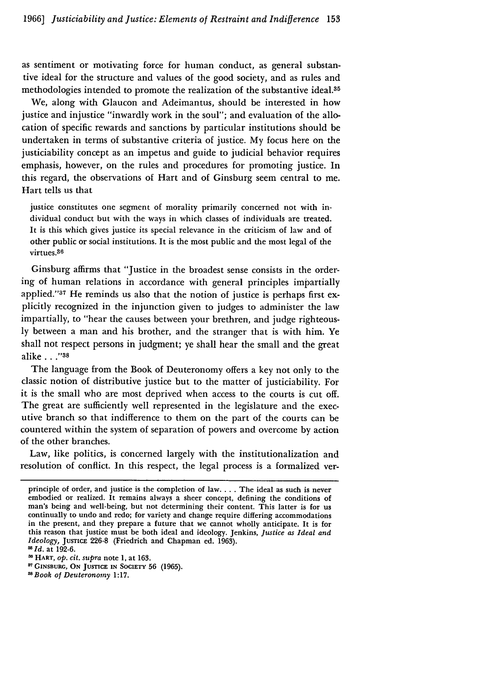as sentiment or motivating force for human conduct, as general substantive ideal for the structure and values of the good society, and as rules and methodologies intended to promote the realization of the substantive ideal.<sup>35</sup>

We, along with Glaucon and Adeimantus, should be interested in how justice and injustice "inwardly work in the soul"; and evaluation of the allocation of specific rewards and sanctions by particular institutions should be undertaken in terms of substantive criteria of justice. My focus here on the justiciability concept as an impetus and guide to judicial behavior requires emphasis, however, on the rules and procedures for promoting justice. In this regard, the observations of Hart and of Ginsburg seem central to me. Hart tells us that

justice constitutes one segment of morality primarily concerned not with individual conduct but with the ways in which classes of individuals are treated. It is this which gives justice its special relevance in the criticism of law and of other public or social institutions. It is the most public and the most legal of the virtues.<sup>86</sup>

Ginsburg affirms that "Justice in the broadest sense consists in the ordering of human relations in accordance with general principles impartially applied."<sup>37</sup> He reminds us also that the notion of justice is perhaps first explicitly recognized in the injunction given to judges to administer the law impartially, to "hear the causes between your brethren, and judge righteously between a man and his brother, and the stranger that is with him. Ye shall not respect persons in judgment; ye shall hear the small and the great alike **..."8**

The language from the Book of Deuteronomy offers a key not only to the classic notion of distributive justice but to the matter of justiciability. For it is the small who are most deprived when access to the courts is cut off. The great are sufficiently well represented in the legislature and the executive branch so that indifference to them on the part of the courts can be countered within the system of separation of powers and overcome by action of the other branches.

Law, like politics, is concerned largely with the institutionalization and resolution of conflict. In this respect, the legal process is a formalized ver-

principle of order, and justice is the completion of law.... The ideal as such is never embodied or realized. It remains always a sheer concept, defining the conditions **of** man's being and well-being, but not determining their content. This latter is for us continually to undo and redo; for variety and change require differing accommodations in the present, and they prepare a future that we cannot wholly anticipate. It is for this reason that justice must be both ideal and ideology. Jenkins, *Justice as Ideal and Ideology,* **JUSTICE** 226-8 (Friedrich and Chapman ed. 1963). *Id.* at 192-6.

HART, *op. cit. supra* note 1, at **163.**

**<sup>87</sup> GINSBURG, ON JUSTICE IN SOCIETY** 56 (1965).

*<sup>118</sup>Book* of *Deuteronomy* 1:17.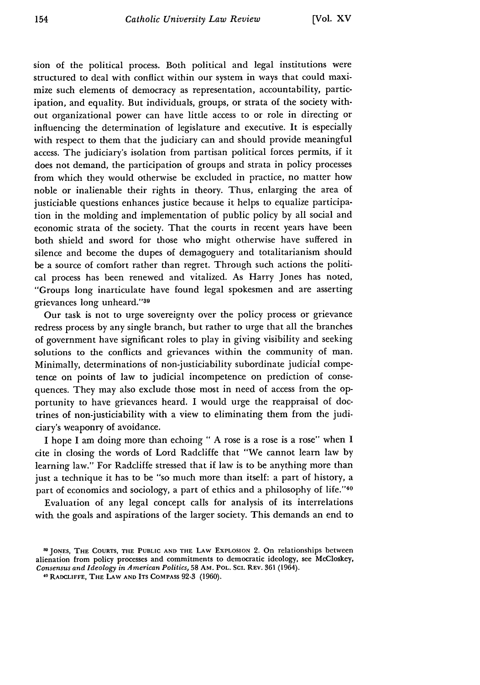sion of the political process. Both political and legal institutions were structured to deal with conflict within our system in ways that could maximize such elements of democracy as representation, accountability, participation, and equality. But individuals, groups, or strata of the society without organizational power can have little access to or role in directing or influencing the determination of legislature and executive. It is especially with respect to them that the judiciary can and should provide meaningful access. The judiciary's isolation from partisan political forces permits, if it does not demand, the participation of groups and strata in policy processes from which they would otherwise be excluded in practice, no matter how noble or inalienable their rights in theory. Thus, enlarging the area of justiciable questions enhances justice because it helps to equalize participation in the molding and implementation of public policy by all social and economic strata of the society. That the courts in recent years have been both shield and sword for those who might otherwise have suffered in silence and become the dupes of demagoguery and totalitarianism should be a source of comfort rather than regret. Through such actions the political process has been renewed and vitalized. As Harry Jones has noted, "Groups long inarticulate have found legal spokesmen and are asserting grievances long unheard."39

Our task is not to urge sovereignty over the policy process or grievance redress process by any single branch, but rather to urge that all the branches of government have significant roles to play in giving visibility and seeking solutions to the conflicts and grievances within the community of man. Minimally, determinations of non-justiciability subordinate judicial competence on points of law to judicial incompetence on prediction of consequences. They may also exclude those most in need of access from the opportunity to have grievances heard. I would urge the reappraisal of doctrines of non-justiciability with a view to eliminating them from the judiciary's weaponry of avoidance.

I hope **I** am doing more than echoing " **A** rose is a rose is a rose" when **I** cite in closing the words of Lord Radcliffe that "We cannot learn law **by** learning law." For Radcliffe stressed that if law is to be anything more than just a technique it has to be "so much more than itself: a part of history, a part of economics and sociology, a part of ethics and a philosophy of life."40

Evaluation of any legal concept calls for analysis of its interrelations with the goals and aspirations of the larger society. This demands an end to

SO JONES, THE **COURTS,** THE **PUBLIC AND THE** LAW ExPLOSION 2. On relationships between alienation from policy processes and commitments to democratic ideology, see McCloskey, *Consensus and Ideology in American Politics, 58 AM. POL. SCI. REV. 361 (1964).* 

**<sup>40</sup>**RADCLIFFE, **THE** LAW **AND ITS COMPASS** 92-3 (1960).